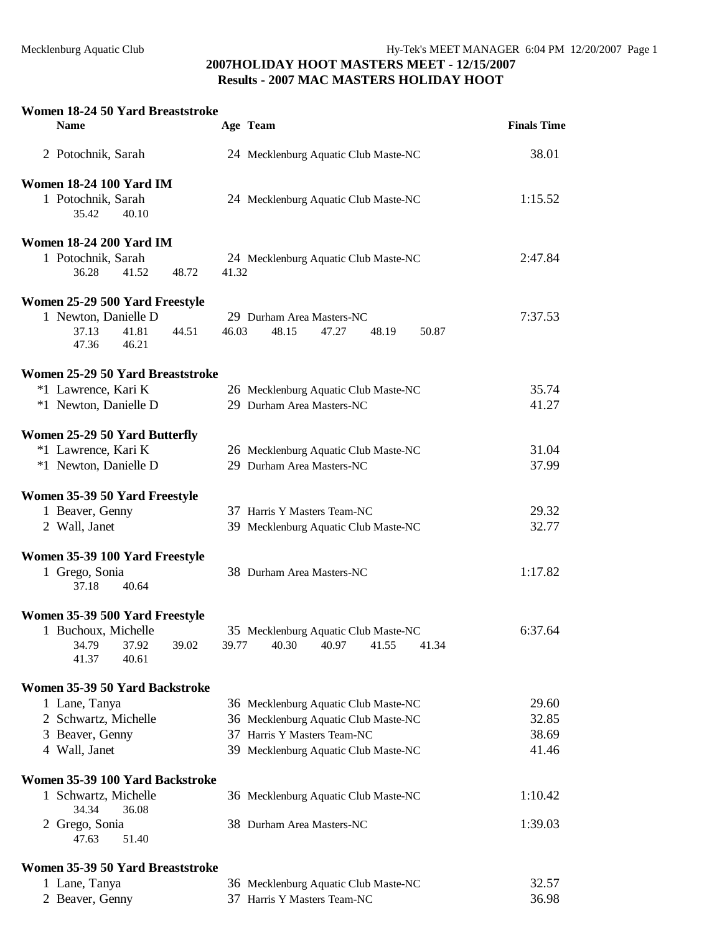### **Women 18-24 50 Yard Breaststroke Name Age Team Finals Time**  2 Potochnik, Sarah 24 Mecklenburg Aquatic Club Maste-NC 38.01 **Women 18-24 100 Yard IM**  1 Potochnik, Sarah 24 Mecklenburg Aquatic Club Maste-NC 1:15.52<br>35.42 40.10  $35.42$ **Women 18-24 200 Yard IM**  1 Potochnik, Sarah 24 Mecklenburg Aquatic Club Maste-NC 2:47.84 36.28 41.52 48.72 41.32 **Women 25-29 500 Yard Freestyle**  1 Newton, Danielle D 29 Durham Area Masters-NC 7:37.53 37.13 41.81 44.51 46.03 48.15 47.27 48.19 50.87 47.36 46.21 **Women 25-29 50 Yard Breaststroke**  \*1 Lawrence, Kari K 26 Mecklenburg Aquatic Club Maste-NC 35.74 \*1 Newton, Danielle D 29 Durham Area Masters-NC 41.27 **Women 25-29 50 Yard Butterfly**  \*1 Lawrence, Kari K 26 Mecklenburg Aquatic Club Maste-NC 31.04 \*1 Newton, Danielle D 29 Durham Area Masters-NC 37.99 **Women 35-39 50 Yard Freestyle**  1 Beaver, Genny 37 Harris Y Masters Team-NC 29.32 2 Wall, Janet 39 Mecklenburg Aquatic Club Maste-NC 32.77 **Women 35-39 100 Yard Freestyle**  1 Grego, Sonia 38 Durham Area Masters-NC 1:17.82 37.18 40.64 **Women 35-39 500 Yard Freestyle**  1 Buchoux, Michelle 35 Mecklenburg Aquatic Club Maste-NC 6:37.64 34.79 37.92 39.02 39.77 40.30 40.97 41.55 41.34 41.37 40.61 **Women 35-39 50 Yard Backstroke**  1 Lane, Tanya 36 Mecklenburg Aquatic Club Maste-NC 29.60 2 Schwartz, Michelle 36 Mecklenburg Aquatic Club Maste-NC 32.85 3 Beaver, Genny 37 Harris Y Masters Team-NC 38.69 4 Wall, Janet 39 Mecklenburg Aquatic Club Maste-NC 41.46 **Women 35-39 100 Yard Backstroke**  1 Schwartz, Michelle 36 Mecklenburg Aquatic Club Maste-NC 1:10.42 34.34 36.08 2 Grego, Sonia 38 Durham Area Masters-NC 1:39.03 47.63 51.40 **Women 35-39 50 Yard Breaststroke**

| 1 Lane, Tanya   | 36 Mecklenburg Aquatic Club Maste-NC | 32.57 |
|-----------------|--------------------------------------|-------|
| 2 Beaver, Genny | 37 Harris Y Masters Team-NC          | 36.98 |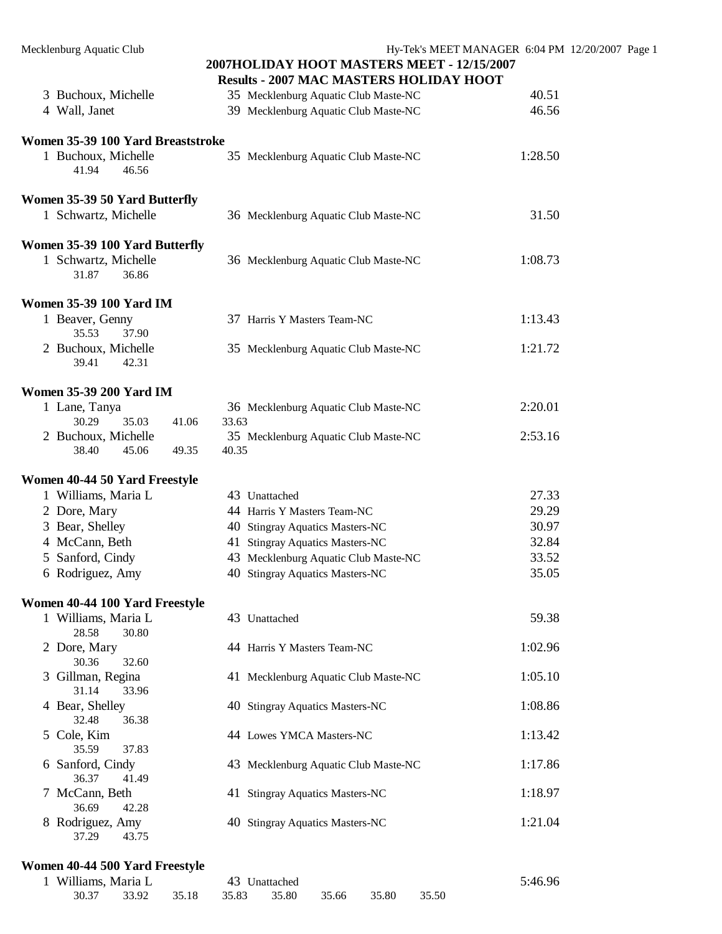|                                                | - 2007 мле млетено пошват поот                |         |
|------------------------------------------------|-----------------------------------------------|---------|
| 3 Buchoux, Michelle                            | 35 Mecklenburg Aquatic Club Maste-NC          | 40.51   |
| 4 Wall, Janet                                  | 39 Mecklenburg Aquatic Club Maste-NC          | 46.56   |
| Women 35-39 100 Yard Breaststroke              |                                               |         |
| 1 Buchoux, Michelle<br>41.94<br>46.56          | 35 Mecklenburg Aquatic Club Maste-NC          | 1:28.50 |
| Women 35-39 50 Yard Butterfly                  |                                               |         |
| 1 Schwartz, Michelle                           | 36 Mecklenburg Aquatic Club Maste-NC          | 31.50   |
| Women 35-39 100 Yard Butterfly                 |                                               |         |
| 1 Schwartz, Michelle<br>31.87<br>36.86         | 36 Mecklenburg Aquatic Club Maste-NC          | 1:08.73 |
| <b>Women 35-39 100 Yard IM</b>                 |                                               |         |
| 1 Beaver, Genny<br>35.53<br>37.90              | 37 Harris Y Masters Team-NC                   | 1:13.43 |
| 2 Buchoux, Michelle<br>39.41<br>42.31          | 35 Mecklenburg Aquatic Club Maste-NC          | 1:21.72 |
| <b>Women 35-39 200 Yard IM</b>                 |                                               |         |
| 1 Lane, Tanya<br>30.29<br>35.03<br>41.06       | 36 Mecklenburg Aquatic Club Maste-NC<br>33.63 | 2:20.01 |
| 2 Buchoux, Michelle<br>38.40<br>45.06<br>49.35 | 35 Mecklenburg Aquatic Club Maste-NC<br>40.35 | 2:53.16 |
| Women 40-44 50 Yard Freestyle                  |                                               |         |
| 1 Williams, Maria L                            | 43 Unattached                                 | 27.33   |
| 2 Dore, Mary                                   | 44 Harris Y Masters Team-NC                   | 29.29   |
| 3 Bear, Shelley                                | 40 Stingray Aquatics Masters-NC               | 30.97   |
| 4 McCann, Beth                                 | 41 Stingray Aquatics Masters-NC               | 32.84   |
| 5 Sanford, Cindy                               | 43 Mecklenburg Aquatic Club Maste-NC          | 33.52   |
| 6 Rodriguez, Amy                               | 40 Stingray Aquatics Masters-NC               | 35.05   |
| Women 40-44 100 Yard Freestyle                 |                                               |         |
| 1 Williams, Maria L<br>28.58<br>30.80          | 43 Unattached                                 | 59.38   |
| 2 Dore, Mary<br>30.36<br>32.60                 | 44 Harris Y Masters Team-NC                   | 1:02.96 |
| 3 Gillman, Regina<br>31.14<br>33.96            | 41 Mecklenburg Aquatic Club Maste-NC          | 1:05.10 |
| 4 Bear, Shelley<br>32.48<br>36.38              | 40 Stingray Aquatics Masters-NC               | 1:08.86 |
| 5 Cole, Kim<br>35.59<br>37.83                  | 44 Lowes YMCA Masters-NC                      | 1:13.42 |
| 6 Sanford, Cindy<br>36.37<br>41.49             | 43 Mecklenburg Aquatic Club Maste-NC          | 1:17.86 |
| 7 McCann, Beth<br>36.69<br>42.28               | 41 Stingray Aquatics Masters-NC               | 1:18.97 |
| 8 Rodriguez, Amy<br>37.29<br>43.75             | 40 Stingray Aquatics Masters-NC               | 1:21.04 |

#### **Women 40-44 500 Yard Freestyle**

| 1 Williams, Maria L |  | 43 Unattached                                   |  |  |  | 5:46.96 |  |
|---------------------|--|-------------------------------------------------|--|--|--|---------|--|
|                     |  | 30.37 33.92 35.18 35.83 35.80 35.66 35.80 35.50 |  |  |  |         |  |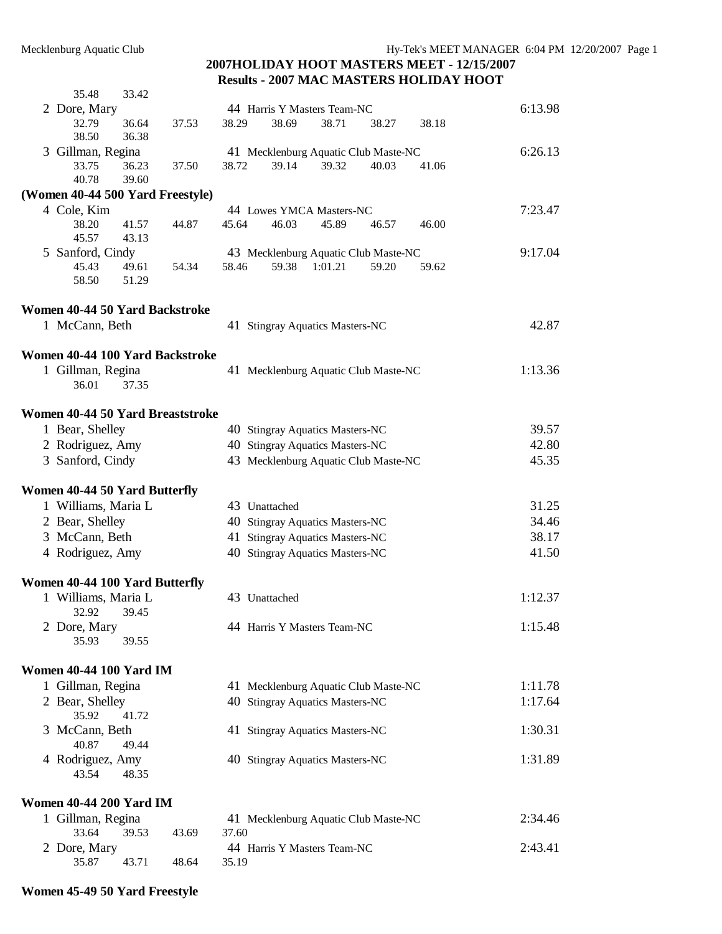| 35.48                                | 33.42          |       |       |               |                                      |       |       |         |
|--------------------------------------|----------------|-------|-------|---------------|--------------------------------------|-------|-------|---------|
| 2 Dore, Mary                         |                |       |       |               | 44 Harris Y Masters Team-NC          |       |       | 6:13.98 |
| 32.79<br>38.50                       | 36.64<br>36.38 | 37.53 | 38.29 | 38.69         | 38.71                                | 38.27 | 38.18 |         |
| 3 Gillman, Regina                    |                |       |       |               | 41 Mecklenburg Aquatic Club Maste-NC |       |       | 6:26.13 |
| 33.75<br>40.78                       | 36.23<br>39.60 | 37.50 | 38.72 | 39.14         | 39.32                                | 40.03 | 41.06 |         |
| (Women 40-44 500 Yard Freestyle)     |                |       |       |               |                                      |       |       |         |
| 4 Cole, Kim                          |                |       |       |               | 44 Lowes YMCA Masters-NC             |       |       | 7:23.47 |
| 38.20<br>45.57                       | 41.57<br>43.13 | 44.87 | 45.64 | 46.03         | 45.89                                | 46.57 | 46.00 |         |
| 5 Sanford, Cindy                     |                |       |       |               | 43 Mecklenburg Aquatic Club Maste-NC |       |       | 9:17.04 |
| 45.43<br>58.50                       | 49.61<br>51.29 | 54.34 | 58.46 | 59.38         | 1:01.21                              | 59.20 | 59.62 |         |
| Women 40-44 50 Yard Backstroke       |                |       |       |               |                                      |       |       |         |
| 1 McCann, Beth                       |                |       |       |               | 41 Stingray Aquatics Masters-NC      |       |       | 42.87   |
| Women 40-44 100 Yard Backstroke      |                |       |       |               |                                      |       |       |         |
| 1 Gillman, Regina<br>36.01           | 37.35          |       |       |               | 41 Mecklenburg Aquatic Club Maste-NC |       |       | 1:13.36 |
| Women 40-44 50 Yard Breaststroke     |                |       |       |               |                                      |       |       |         |
| 1 Bear, Shelley                      |                |       |       |               | 40 Stingray Aquatics Masters-NC      |       |       | 39.57   |
| 2 Rodriguez, Amy                     |                |       |       |               | 40 Stingray Aquatics Masters-NC      |       |       | 42.80   |
| 3 Sanford, Cindy                     |                |       |       |               | 43 Mecklenburg Aquatic Club Maste-NC |       |       | 45.35   |
| <b>Women 40-44 50 Yard Butterfly</b> |                |       |       |               |                                      |       |       |         |
| 1 Williams, Maria L                  |                |       |       | 43 Unattached |                                      |       |       | 31.25   |
| 2 Bear, Shelley                      |                |       |       |               | 40 Stingray Aquatics Masters-NC      |       |       | 34.46   |
| 3 McCann, Beth                       |                |       |       |               | 41 Stingray Aquatics Masters-NC      |       |       | 38.17   |
| 4 Rodriguez, Amy                     |                |       |       |               | 40 Stingray Aquatics Masters-NC      |       |       | 41.50   |
| Women 40-44 100 Yard Butterfly       |                |       |       |               |                                      |       |       |         |
| 1 Williams, Maria L<br>32.92         | 39.45          |       |       | 43 Unattached |                                      |       |       | 1:12.37 |
| 2 Dore, Mary<br>35.93                | 39.55          |       |       |               | 44 Harris Y Masters Team-NC          |       |       | 1:15.48 |
| <b>Women 40-44 100 Yard IM</b>       |                |       |       |               |                                      |       |       |         |
| 1 Gillman, Regina                    |                |       |       |               | 41 Mecklenburg Aquatic Club Maste-NC |       |       | 1:11.78 |
| 2 Bear, Shelley<br>35.92             | 41.72          |       |       |               | 40 Stingray Aquatics Masters-NC      |       |       | 1:17.64 |
| 3 McCann, Beth<br>40.87              | 49.44          |       |       |               | 41 Stingray Aquatics Masters-NC      |       |       | 1:30.31 |
| 4 Rodriguez, Amy<br>43.54            | 48.35          |       |       |               | 40 Stingray Aquatics Masters-NC      |       |       | 1:31.89 |
| <b>Women 40-44 200 Yard IM</b>       |                |       |       |               |                                      |       |       |         |
| 1 Gillman, Regina                    |                |       |       |               | 41 Mecklenburg Aquatic Club Maste-NC |       |       | 2:34.46 |
| 33.64                                | 39.53          | 43.69 | 37.60 |               |                                      |       |       |         |
| 2 Dore, Mary                         | 43.71          | 48.64 | 35.19 |               | 44 Harris Y Masters Team-NC          |       |       | 2:43.41 |
| 35.87                                |                |       |       |               |                                      |       |       |         |

#### **Women 45-49 50 Yard Freestyle**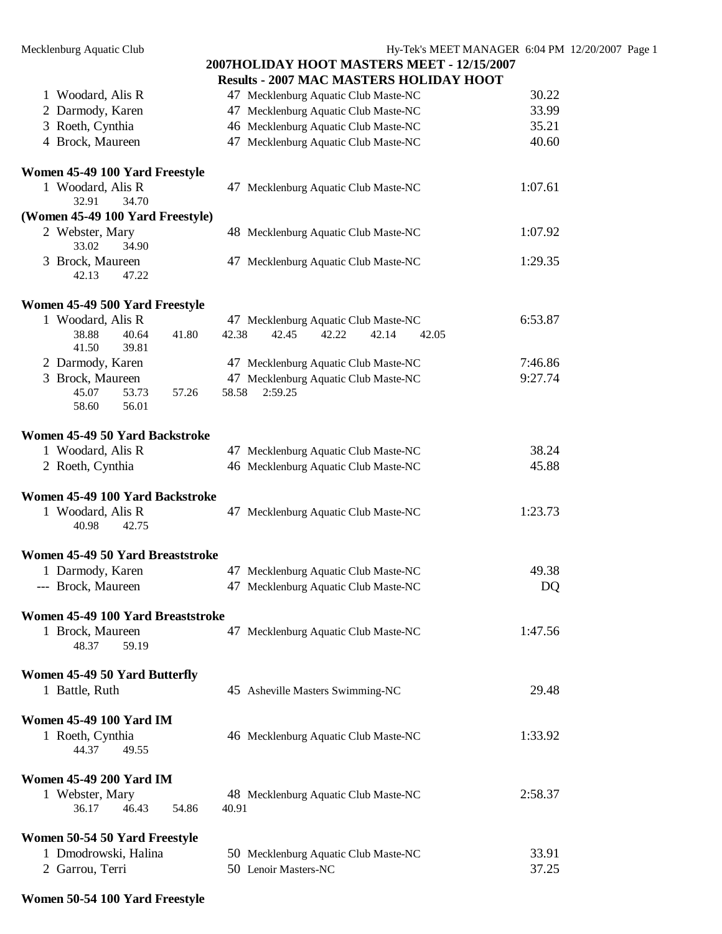| 1 Woodard, Alis R                                     |                                                              |         |
|-------------------------------------------------------|--------------------------------------------------------------|---------|
|                                                       | 47 Mecklenburg Aquatic Club Maste-NC                         | 30.22   |
| 2 Darmody, Karen                                      | 47 Mecklenburg Aquatic Club Maste-NC                         | 33.99   |
| 3 Roeth, Cynthia                                      | 46 Mecklenburg Aquatic Club Maste-NC                         | 35.21   |
| 4 Brock, Maureen                                      | 47 Mecklenburg Aquatic Club Maste-NC                         | 40.60   |
|                                                       |                                                              |         |
| Women 45-49 100 Yard Freestyle                        |                                                              |         |
| 1 Woodard, Alis R                                     | 47 Mecklenburg Aquatic Club Maste-NC                         | 1:07.61 |
| 32.91<br>34.70                                        |                                                              |         |
| (Women 45-49 100 Yard Freestyle)                      |                                                              |         |
| 2 Webster, Mary<br>33.02<br>34.90                     | 48 Mecklenburg Aquatic Club Maste-NC                         | 1:07.92 |
| 3 Brock, Maureen<br>42.13<br>47.22                    | 47 Mecklenburg Aquatic Club Maste-NC                         | 1:29.35 |
| Women 45-49 500 Yard Freestyle                        |                                                              |         |
| 1 Woodard, Alis R                                     | 47 Mecklenburg Aquatic Club Maste-NC                         | 6:53.87 |
| 38.88<br>40.64<br>41.80                               | 42.38<br>42.45<br>42.22<br>42.14<br>42.05                    |         |
| 41.50<br>39.81                                        |                                                              |         |
| 2 Darmody, Karen                                      | 47 Mecklenburg Aquatic Club Maste-NC                         | 7:46.86 |
| 3 Brock, Maureen                                      | 47 Mecklenburg Aquatic Club Maste-NC                         | 9:27.74 |
| 57.26<br>45.07<br>53.73                               | 58.58<br>2:59.25                                             |         |
| 58.60<br>56.01                                        |                                                              |         |
|                                                       |                                                              |         |
| Women 45-49 50 Yard Backstroke                        |                                                              | 38.24   |
| 1 Woodard, Alis R                                     | 47 Mecklenburg Aquatic Club Maste-NC                         | 45.88   |
| 2 Roeth, Cynthia                                      | 46 Mecklenburg Aquatic Club Maste-NC                         |         |
| Women 45-49 100 Yard Backstroke                       |                                                              |         |
| 1 Woodard, Alis R                                     | 47 Mecklenburg Aquatic Club Maste-NC                         | 1:23.73 |
|                                                       |                                                              |         |
| 40.98<br>42.75                                        |                                                              |         |
|                                                       |                                                              |         |
| Women 45-49 50 Yard Breaststroke                      |                                                              |         |
| 1 Darmody, Karen                                      | 47 Mecklenburg Aquatic Club Maste-NC                         | 49.38   |
| --- Brock, Maureen                                    | 47 Mecklenburg Aquatic Club Maste-NC                         | DQ      |
|                                                       |                                                              |         |
| Women 45-49 100 Yard Breaststroke                     |                                                              |         |
| 1 Brock, Maureen                                      | 47 Mecklenburg Aquatic Club Maste-NC                         | 1:47.56 |
| 48.37<br>59.19                                        |                                                              |         |
|                                                       |                                                              |         |
| Women 45-49 50 Yard Butterfly                         |                                                              |         |
| 1 Battle, Ruth                                        | 45 Asheville Masters Swimming-NC                             | 29.48   |
| <b>Women 45-49 100 Yard IM</b>                        |                                                              |         |
| 1 Roeth, Cynthia                                      | 46 Mecklenburg Aquatic Club Maste-NC                         | 1:33.92 |
| 44.37<br>49.55                                        |                                                              |         |
|                                                       |                                                              |         |
| <b>Women 45-49 200 Yard IM</b>                        |                                                              |         |
| 1 Webster, Mary                                       | 48 Mecklenburg Aquatic Club Maste-NC                         | 2:58.37 |
| 46.43<br>36.17<br>54.86                               | 40.91                                                        |         |
|                                                       |                                                              |         |
| Women 50-54 50 Yard Freestyle<br>1 Dmodrowski, Halina |                                                              | 33.91   |
| 2 Garrou, Terri                                       | 50 Mecklenburg Aquatic Club Maste-NC<br>50 Lenoir Masters-NC | 37.25   |

**Women 50-54 100 Yard Freestyle**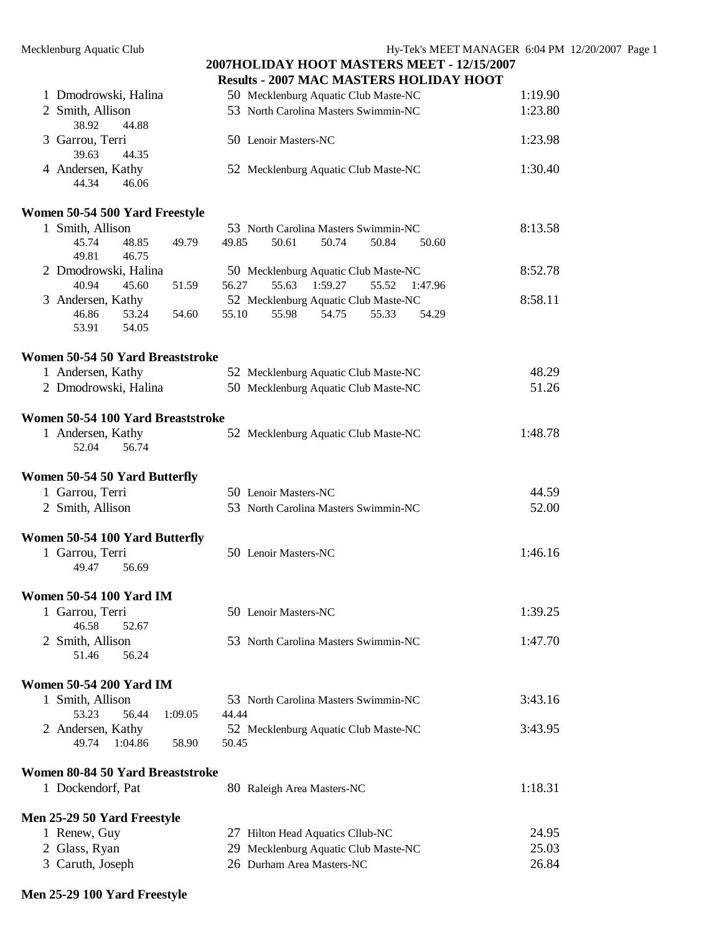| 1 Dmodrowski, Halina | 50 Mecklenburg Aquatic Club Maste-NC | 1:19.90 |
|----------------------|--------------------------------------|---------|
| 2 Smith, Allison     | 53 North Carolina Masters Swimmin-NC | 1:23.80 |
| 38.92 44.88          |                                      |         |
| 3 Garrou, Terri      | 50 Lenoir Masters-NC                 | 1:23.98 |
| 39.63<br>44.35       |                                      |         |
| 4 Andersen, Kathy    | 52 Mecklenburg Aquatic Club Maste-NC | 1:30.40 |
| 44.34<br>46.06       |                                      |         |

#### **Women 50-54 500 Yard Freestyle**

| Smith, Allison       |       |       |       |       | 53 North Carolina Masters Swimmin-NC |       |               | 8:13.58 |
|----------------------|-------|-------|-------|-------|--------------------------------------|-------|---------------|---------|
| 45.74                | 48.85 | 49.79 | 49.85 | 50.61 | 50.74                                | 50.84 | 50.60         |         |
| 49.81                | 46.75 |       |       |       |                                      |       |               |         |
| 2 Dmodrowski, Halina |       |       |       |       | 50 Mecklenburg Aquatic Club Maste-NC |       |               | 8:52.78 |
| 40.94                | 45.60 | 51.59 | 56.27 | 55.63 | 1:59.27                              |       | 55.52 1:47.96 |         |
| 3 Andersen, Kathy    |       |       |       |       | 52 Mecklenburg Aquatic Club Maste-NC |       |               | 8:58.11 |
| 46.86                | 53.24 | 54.60 | 55.10 | 55.98 | 54.75                                | 55.33 | 54.29         |         |
| 53.91                | 54.05 |       |       |       |                                      |       |               |         |
|                      |       |       |       |       |                                      |       |               |         |

| Women 50-54 50 Yard Breaststroke |                                      |       |
|----------------------------------|--------------------------------------|-------|
| 1 Andersen, Kathy                | 52 Mecklenburg Aquatic Club Maste-NC | 48.29 |
| 2 Dmodrowski, Halina             | 50 Mecklenburg Aquatic Club Maste-NC | 51.26 |

#### **Women 50-54 100 Yard Breaststroke**

| 1 Andersen, Kathy | 52 Mecklenburg Aquatic Club Maste-NC | 1:48.78 |
|-------------------|--------------------------------------|---------|
| 56.74<br>52.04    |                                      |         |

#### **Women 50-54 50 Yard Butterfly**

| 1 Garrou, Terri  | 50 Lenoir Masters-NC                 | 44.59 |
|------------------|--------------------------------------|-------|
| 2 Smith, Allison | 53 North Carolina Masters Swimmin-NC | 52.00 |

#### **Women 50-54 100 Yard Butterfly**

| 1 Garrou, Terri | 50 Lenoir Masters-NC | 1:46.16 |
|-----------------|----------------------|---------|
| 49.47<br>56.69  |                      |         |

#### **Women 50-54 100 Yard IM**

| 1 Garrou, Terri  | 50 Lenoir Masters-NC                 | 1:39.25 |
|------------------|--------------------------------------|---------|
| 46.58<br>52.67   |                                      |         |
| 2 Smith, Allison | 53 North Carolina Masters Swimmin-NC | 1:47.70 |
| 56.24<br>51.46   |                                      |         |

#### **Women 50-54 200 Yard IM**

| 1 Smith, Allison  |                    | 53 North Carolina Masters Swimmin-NC | 3:43.16 |
|-------------------|--------------------|--------------------------------------|---------|
| 53.23             | - 56.44<br>1:09.05 | 44.44                                |         |
| 2 Andersen, Kathy |                    | 52 Mecklenburg Aquatic Club Maste-NC | 3:43.95 |
| 49.74 1:04.86     | 58.90              | 50.45                                |         |

### **Women 80-84 50 Yard Breaststroke**

| 1 Dockendorf, Pat                  | 80 Raleigh Area Masters-NC           | 1:18.31 |
|------------------------------------|--------------------------------------|---------|
| <b>Men 25-29 50 Yard Freestyle</b> |                                      |         |
| 1 Renew, Guy                       | 27 Hilton Head Aquatics Cllub-NC     | 24.95   |
| 2 Glass, Ryan                      | 29 Mecklenburg Aquatic Club Maste-NC | 25.03   |
| 3 Caruth, Joseph                   | 26 Durham Area Masters-NC            | 26.84   |

#### **Men 25-29 100 Yard Freestyle**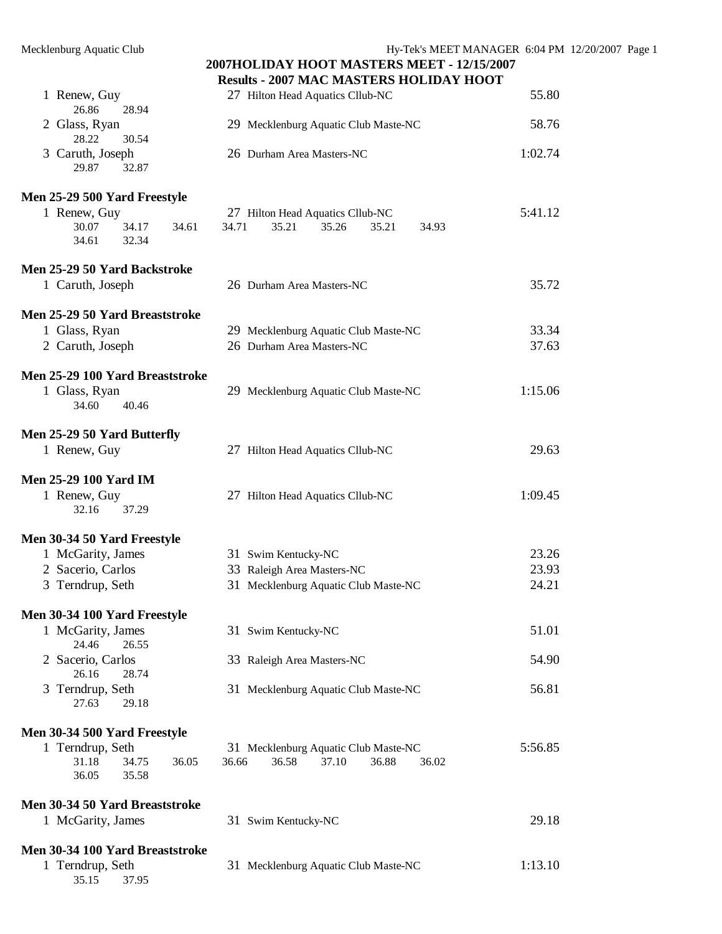| 1 Renew, Guy<br>26.86<br>28.94                       | 27 Hilton Head Aquatics Cllub-NC                                                  | 55.80   |
|------------------------------------------------------|-----------------------------------------------------------------------------------|---------|
| 2 Glass, Ryan                                        | 29 Mecklenburg Aquatic Club Maste-NC                                              | 58.76   |
| 28.22<br>30.54<br>3 Caruth, Joseph<br>29.87<br>32.87 | 26 Durham Area Masters-NC                                                         | 1:02.74 |
| Men 25-29 500 Yard Freestyle<br>1 Renew, Guy         | 27 Hilton Head Aquatics Cllub-NC                                                  | 5:41.12 |
| 30.07<br>34.17<br>34.61<br>34.61<br>32.34            | 34.71<br>35.21<br>35.26<br>35.21<br>34.93                                         |         |
| Men 25-29 50 Yard Backstroke<br>1 Caruth, Joseph     | 26 Durham Area Masters-NC                                                         | 35.72   |
|                                                      |                                                                                   |         |
| Men 25-29 50 Yard Breaststroke                       |                                                                                   |         |
| 1 Glass, Ryan                                        | 29 Mecklenburg Aquatic Club Maste-NC                                              | 33.34   |
| 2 Caruth, Joseph                                     | 26 Durham Area Masters-NC                                                         | 37.63   |
| Men 25-29 100 Yard Breaststroke                      |                                                                                   |         |
| 1 Glass, Ryan                                        | 29 Mecklenburg Aquatic Club Maste-NC                                              | 1:15.06 |
| 34.60<br>40.46                                       |                                                                                   |         |
| Men 25-29 50 Yard Butterfly                          |                                                                                   |         |
| 1 Renew, Guy                                         | 27 Hilton Head Aquatics Cllub-NC                                                  | 29.63   |
|                                                      |                                                                                   |         |
| <b>Men 25-29 100 Yard IM</b>                         |                                                                                   |         |
| 1 Renew, Guy                                         | 27 Hilton Head Aquatics Cllub-NC                                                  | 1:09.45 |
| 32.16<br>37.29                                       |                                                                                   |         |
| Men 30-34 50 Yard Freestyle                          |                                                                                   |         |
| 1 McGarity, James                                    | 31 Swim Kentucky-NC                                                               | 23.26   |
| 2 Sacerio, Carlos                                    | 33 Raleigh Area Masters-NC                                                        | 23.93   |
| 3 Terndrup, Seth                                     | 31 Mecklenburg Aquatic Club Maste-NC                                              | 24.21   |
| Men 30-34 100 Yard Freestyle                         |                                                                                   |         |
| 1 McGarity, James                                    | 31 Swim Kentucky-NC                                                               | 51.01   |
| 24.46<br>26.55                                       |                                                                                   |         |
| 2 Sacerio, Carlos                                    | 33 Raleigh Area Masters-NC                                                        | 54.90   |
| 26.16<br>28.74<br>3 Terndrup, Seth                   | 31 Mecklenburg Aquatic Club Maste-NC                                              | 56.81   |
| 27.63<br>29.18                                       |                                                                                   |         |
|                                                      |                                                                                   |         |
| Men 30-34 500 Yard Freestyle                         |                                                                                   |         |
| 1 Terndrup, Seth<br>31.18<br>34.75<br>36.05          | 31 Mecklenburg Aquatic Club Maste-NC<br>36.66<br>36.58<br>37.10<br>36.88<br>36.02 | 5:56.85 |
| 35.58<br>36.05                                       |                                                                                   |         |
|                                                      |                                                                                   |         |
| Men 30-34 50 Yard Breaststroke<br>1 McGarity, James  | 31 Swim Kentucky-NC                                                               | 29.18   |
|                                                      |                                                                                   |         |
| Men 30-34 100 Yard Breaststroke                      |                                                                                   |         |
| 1 Terndrup, Seth                                     | 31 Mecklenburg Aquatic Club Maste-NC                                              | 1:13.10 |
| 35.15<br>37.95                                       |                                                                                   |         |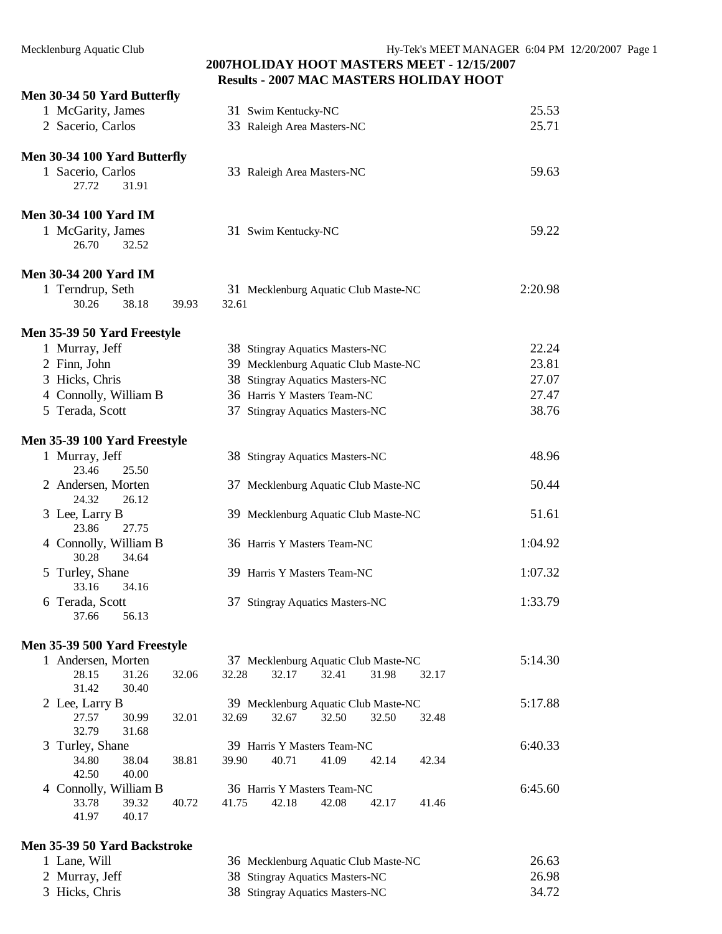#### **2007HOLIDAY HOOT MASTERS MEET - 12/15/2007 Results - 2007 MAC MASTERS HOLIDAY HOOT**

|   | Men 30-34 50 Yard Butterfly    |                |       |       |                     |                                 |                                      |       |         |
|---|--------------------------------|----------------|-------|-------|---------------------|---------------------------------|--------------------------------------|-------|---------|
|   | 1 McGarity, James              |                |       |       | 31 Swim Kentucky-NC |                                 |                                      |       | 25.53   |
|   | 2 Sacerio, Carlos              |                |       |       |                     | 33 Raleigh Area Masters-NC      |                                      |       | 25.71   |
|   | Men 30-34 100 Yard Butterfly   |                |       |       |                     |                                 |                                      |       |         |
|   | 1 Sacerio, Carlos              |                |       |       |                     | 33 Raleigh Area Masters-NC      |                                      |       | 59.63   |
|   | 27.72                          | 31.91          |       |       |                     |                                 |                                      |       |         |
|   | <b>Men 30-34 100 Yard IM</b>   |                |       |       |                     |                                 |                                      |       |         |
|   | 1 McGarity, James<br>26.70     | 32.52          |       |       | 31 Swim Kentucky-NC |                                 |                                      |       | 59.22   |
|   | <b>Men 30-34 200 Yard IM</b>   |                |       |       |                     |                                 |                                      |       |         |
|   | 1 Terndrup, Seth               |                |       |       |                     |                                 | 31 Mecklenburg Aquatic Club Maste-NC |       | 2:20.98 |
|   | 30.26                          | 38.18          | 39.93 | 32.61 |                     |                                 |                                      |       |         |
|   | Men 35-39 50 Yard Freestyle    |                |       |       |                     |                                 |                                      |       |         |
|   | 1 Murray, Jeff                 |                |       |       |                     | 38 Stingray Aquatics Masters-NC |                                      |       | 22.24   |
|   | 2 Finn, John                   |                |       |       |                     |                                 | 39 Mecklenburg Aquatic Club Maste-NC |       | 23.81   |
|   | 3 Hicks, Chris                 |                |       |       |                     | 38 Stingray Aquatics Masters-NC |                                      |       | 27.07   |
|   | 4 Connolly, William B          |                |       |       |                     | 36 Harris Y Masters Team-NC     |                                      |       | 27.47   |
|   | 5 Terada, Scott                |                |       |       |                     | 37 Stingray Aquatics Masters-NC |                                      |       | 38.76   |
|   | Men 35-39 100 Yard Freestyle   |                |       |       |                     |                                 |                                      |       |         |
|   | 1 Murray, Jeff<br>23.46        | 25.50          |       |       |                     | 38 Stingray Aquatics Masters-NC |                                      |       | 48.96   |
|   | 2 Andersen, Morten<br>24.32    | 26.12          |       |       |                     |                                 | 37 Mecklenburg Aquatic Club Maste-NC |       | 50.44   |
|   | 3 Lee, Larry B<br>23.86        | 27.75          |       |       |                     |                                 | 39 Mecklenburg Aquatic Club Maste-NC |       | 51.61   |
|   | 4 Connolly, William B<br>30.28 | 34.64          |       |       |                     | 36 Harris Y Masters Team-NC     |                                      |       | 1:04.92 |
|   | 5 Turley, Shane<br>33.16       | 34.16          |       |       |                     | 39 Harris Y Masters Team-NC     |                                      |       | 1:07.32 |
|   | 6 Terada, Scott<br>37.66 56.13 |                |       |       |                     | 37 Stingray Aquatics Masters-NC |                                      |       | 1:33.79 |
|   | Men 35-39 500 Yard Freestyle   |                |       |       |                     |                                 |                                      |       |         |
|   | 1 Andersen, Morten             |                |       |       |                     |                                 | 37 Mecklenburg Aquatic Club Maste-NC |       | 5:14.30 |
|   | 28.15<br>31.42                 | 31.26<br>30.40 | 32.06 | 32.28 | 32.17               | 32.41                           | 31.98                                | 32.17 |         |
|   | 2 Lee, Larry B                 |                |       |       |                     |                                 | 39 Mecklenburg Aquatic Club Maste-NC |       | 5:17.88 |
|   | 27.57<br>32.79                 | 30.99<br>31.68 | 32.01 | 32.69 | 32.67               | 32.50                           | 32.50                                | 32.48 |         |
| 3 | Turley, Shane                  |                |       |       |                     | 39 Harris Y Masters Team-NC     |                                      |       | 6:40.33 |
|   | 34.80                          | 38.04          | 38.81 | 39.90 | 40.71               | 41.09                           | 42.14                                | 42.34 |         |
|   | 42.50                          | 40.00          |       |       |                     |                                 |                                      |       |         |
|   | 4 Connolly, William B          |                |       |       |                     | 36 Harris Y Masters Team-NC     |                                      |       | 6:45.60 |
|   | 33.78<br>41.97                 | 39.32<br>40.17 | 40.72 | 41.75 | 42.18               | 42.08                           | 42.17                                | 41.46 |         |

#### **Men 35-39 50 Yard Backstroke**

| 1 Lane, Will   | 36 Mecklenburg Aquatic Club Maste-NC | 26.63 |
|----------------|--------------------------------------|-------|
| 2 Murray, Jeff | 38 Stingray Aquatics Masters-NC      | 26.98 |
| 3 Hicks, Chris | 38 Stingray Aquatics Masters-NC      | 34.72 |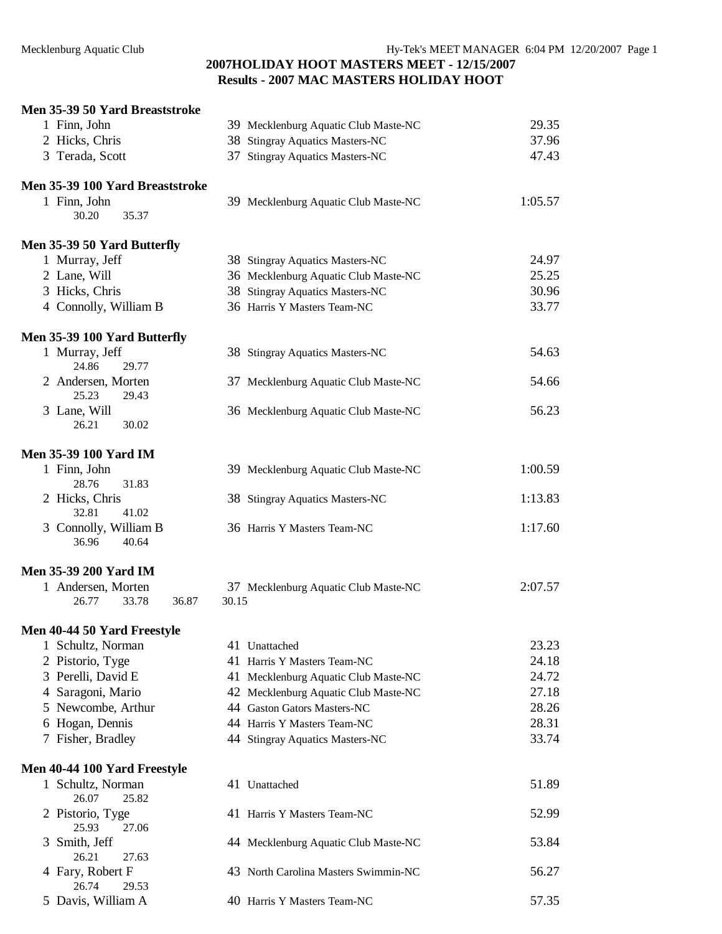#### **Men 35-39 50 Yard Breaststroke**

| 1 Finn, John                                  |       | 39 Mecklenburg Aquatic Club Maste-NC | 29.35   |
|-----------------------------------------------|-------|--------------------------------------|---------|
| 2 Hicks, Chris                                |       | 38 Stingray Aquatics Masters-NC      | 37.96   |
| 3 Terada, Scott                               |       | 37 Stingray Aquatics Masters-NC      | 47.43   |
| Men 35-39 100 Yard Breaststroke               |       |                                      |         |
| 1 Finn, John                                  |       | 39 Mecklenburg Aquatic Club Maste-NC | 1:05.57 |
| 30.20<br>35.37                                |       |                                      |         |
| Men 35-39 50 Yard Butterfly                   |       |                                      |         |
| 1 Murray, Jeff                                |       | 38 Stingray Aquatics Masters-NC      | 24.97   |
| 2 Lane, Will                                  |       | 36 Mecklenburg Aquatic Club Maste-NC | 25.25   |
| 3 Hicks, Chris                                |       | 38 Stingray Aquatics Masters-NC      | 30.96   |
| 4 Connolly, William B                         |       | 36 Harris Y Masters Team-NC          | 33.77   |
| Men 35-39 100 Yard Butterfly                  |       |                                      |         |
| 1 Murray, Jeff<br>24.86<br>29.77              |       | 38 Stingray Aquatics Masters-NC      | 54.63   |
| 2 Andersen, Morten<br>25.23<br>29.43          |       | 37 Mecklenburg Aquatic Club Maste-NC | 54.66   |
| 3 Lane, Will<br>26.21<br>30.02                |       | 36 Mecklenburg Aquatic Club Maste-NC | 56.23   |
| <b>Men 35-39 100 Yard IM</b>                  |       |                                      |         |
| 1 Finn, John<br>28.76<br>31.83                |       | 39 Mecklenburg Aquatic Club Maste-NC | 1:00.59 |
| 2 Hicks, Chris<br>32.81<br>41.02              |       | 38 Stingray Aquatics Masters-NC      | 1:13.83 |
| 3 Connolly, William B<br>36.96<br>40.64       |       | 36 Harris Y Masters Team-NC          | 1:17.60 |
| <b>Men 35-39 200 Yard IM</b>                  |       |                                      |         |
| 1 Andersen, Morten<br>36.87<br>33.78<br>26.77 | 30.15 | 37 Mecklenburg Aquatic Club Maste-NC | 2:07.57 |
| Men 40-44 50 Yard Freestyle                   |       |                                      |         |
| 1 Schultz, Norman                             |       | 41 Unattached                        | 23.23   |
| 2 Pistorio, Tyge                              |       | 41 Harris Y Masters Team-NC          | 24.18   |
| 3 Perelli, David E                            |       | 41 Mecklenburg Aquatic Club Maste-NC | 24.72   |
| 4 Saragoni, Mario                             |       | 42 Mecklenburg Aquatic Club Maste-NC | 27.18   |
| 5 Newcombe, Arthur                            |       | 44 Gaston Gators Masters-NC          | 28.26   |
| 6 Hogan, Dennis                               |       | 44 Harris Y Masters Team-NC          | 28.31   |
| 7 Fisher, Bradley                             |       | 44 Stingray Aquatics Masters-NC      | 33.74   |
| Men 40-44 100 Yard Freestyle                  |       |                                      |         |
| 1 Schultz, Norman<br>26.07<br>25.82           |       | 41 Unattached                        | 51.89   |
| 2 Pistorio, Tyge<br>25.93<br>27.06            |       | 41 Harris Y Masters Team-NC          | 52.99   |
| 3 Smith, Jeff<br>26.21<br>27.63               |       | 44 Mecklenburg Aquatic Club Maste-NC | 53.84   |
| 4 Fary, Robert F<br>26.74<br>29.53            |       | 43 North Carolina Masters Swimmin-NC | 56.27   |
| 5 Davis, William A                            |       | 40 Harris Y Masters Team-NC          | 57.35   |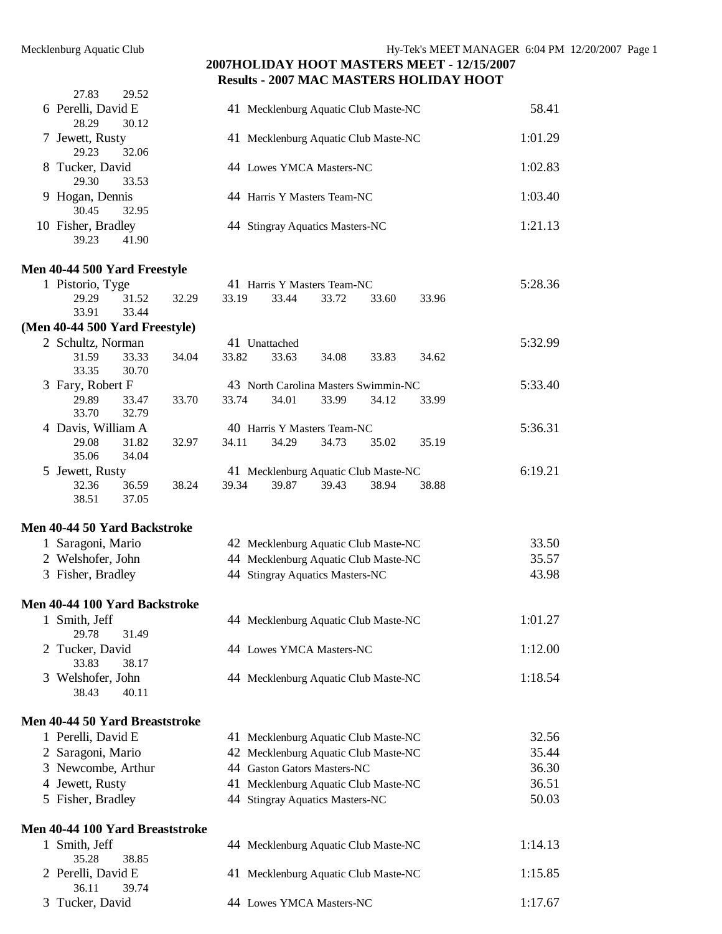| 27.83<br>29.52                       |                                      |         |
|--------------------------------------|--------------------------------------|---------|
| 6 Perelli, David E<br>30.12<br>28.29 | 41 Mecklenburg Aquatic Club Maste-NC | 58.41   |
| 7 Jewett, Rusty<br>29.23<br>32.06    | 41 Mecklenburg Aquatic Club Maste-NC | 1:01.29 |
| 8 Tucker, David<br>33.53<br>29.30    | 44 Lowes YMCA Masters-NC             | 1:02.83 |
| 9 Hogan, Dennis<br>32.95<br>30.45    | 44 Harris Y Masters Team-NC          | 1:03.40 |
| 10 Fisher, Bradley<br>39.23<br>41.90 | 44 Stingray Aquatics Masters-NC      | 1:21.13 |

#### **Men 40-44 500 Yard Freestyle**

| 1 Pistorio, Tyge                    |       |       |       |               | 41 Harris Y Masters Team-NC          |       |       | 5:28.36 |
|-------------------------------------|-------|-------|-------|---------------|--------------------------------------|-------|-------|---------|
| 29.29                               | 31.52 | 32.29 | 33.19 | 33.44         | 33.72                                | 33.60 | 33.96 |         |
| 33.91                               | 33.44 |       |       |               |                                      |       |       |         |
| (Men 40-44 500 Yard Freestyle)      |       |       |       |               |                                      |       |       |         |
| 2 Schultz, Norman                   |       |       |       | 41 Unattached |                                      |       |       | 5:32.99 |
| 31.59                               | 33.33 | 34.04 | 33.82 | 33.63         | 34.08                                | 33.83 | 34.62 |         |
| 33.35                               | 30.70 |       |       |               |                                      |       |       |         |
| 3 Fary, Robert F                    |       |       |       |               | 43 North Carolina Masters Swimmin-NC |       |       | 5:33.40 |
| 29.89                               | 33.47 | 33.70 | 33.74 | 34.01         | 33.99                                | 34.12 | 33.99 |         |
| 33.70                               | 32.79 |       |       |               |                                      |       |       |         |
| 4 Davis, William A                  |       |       |       |               | 40 Harris Y Masters Team-NC          |       |       | 5:36.31 |
| 29.08                               | 31.82 | 32.97 | 34.11 | 34.29         | 34.73                                | 35.02 | 35.19 |         |
| 35.06                               | 34.04 |       |       |               |                                      |       |       |         |
| 5 Jewett, Rusty                     |       |       |       |               | 41 Mecklenburg Aquatic Club Maste-NC |       |       | 6:19.21 |
| 32.36                               | 36.59 | 38.24 | 39.34 | 39.87         | 39.43                                | 38.94 | 38.88 |         |
| 38.51                               | 37.05 |       |       |               |                                      |       |       |         |
| <b>Men 40-44 50 Yard Backstroke</b> |       |       |       |               |                                      |       |       |         |
| 1 Saragoni, Mario                   |       |       |       |               | 42 Mecklenburg Aquatic Club Maste-NC |       |       | 33.50   |
| 2 Welshofer, John                   |       |       |       |               | 44 Mecklenburg Aquatic Club Maste-NC |       |       | 35.57   |
| 3 Fisher, Bradley                   |       |       |       |               | 44 Stingray Aquatics Masters-NC      |       |       | 43.98   |
| Men 40-44 100 Yard Backstroke       |       |       |       |               |                                      |       |       |         |
| 1 Smith, Jeff<br>29.78              | 31.49 |       |       |               | 44 Mecklenburg Aquatic Club Maste-NC |       |       | 1:01.27 |

| 29.78 31.49       |                                      |         |
|-------------------|--------------------------------------|---------|
| 2 Tucker, David   | 44 Lowes YMCA Masters-NC             | 1:12.00 |
| 38.17<br>33.83    |                                      |         |
| 3 Welshofer, John | 44 Mecklenburg Aquatic Club Maste-NC | 1:18.54 |
| 38.43<br>40.11    |                                      |         |

# **Men 40-44 50 Yard Breaststroke**

| 1 Perelli, David E | 41 Mecklenburg Aquatic Club Maste-NC | 32.56 |
|--------------------|--------------------------------------|-------|
| 2 Saragoni, Mario  | 42 Mecklenburg Aquatic Club Maste-NC | 35.44 |
| 3 Newcombe, Arthur | 44 Gaston Gators Masters-NC          | 36.30 |
| 4 Jewett, Rusty    | 41 Mecklenburg Aquatic Club Maste-NC | 36.51 |
| 5 Fisher, Bradley  | 44 Stingray Aquatics Masters-NC      | 50.03 |

#### **Men 40-44 100 Yard Breaststroke**

| ICII 70-77 TUV TATU DI CASISLI UNC |                                      |         |
|------------------------------------|--------------------------------------|---------|
| 1 Smith, Jeff                      | 44 Mecklenburg Aquatic Club Maste-NC | 1:14.13 |
| 38.85<br>35.28                     |                                      |         |
| 2 Perelli, David E                 | 41 Mecklenburg Aquatic Club Maste-NC | 1:15.85 |
| 39.74<br>36.11                     |                                      |         |
| 3 Tucker, David                    | 44 Lowes YMCA Masters-NC             | 1:17.67 |
|                                    |                                      |         |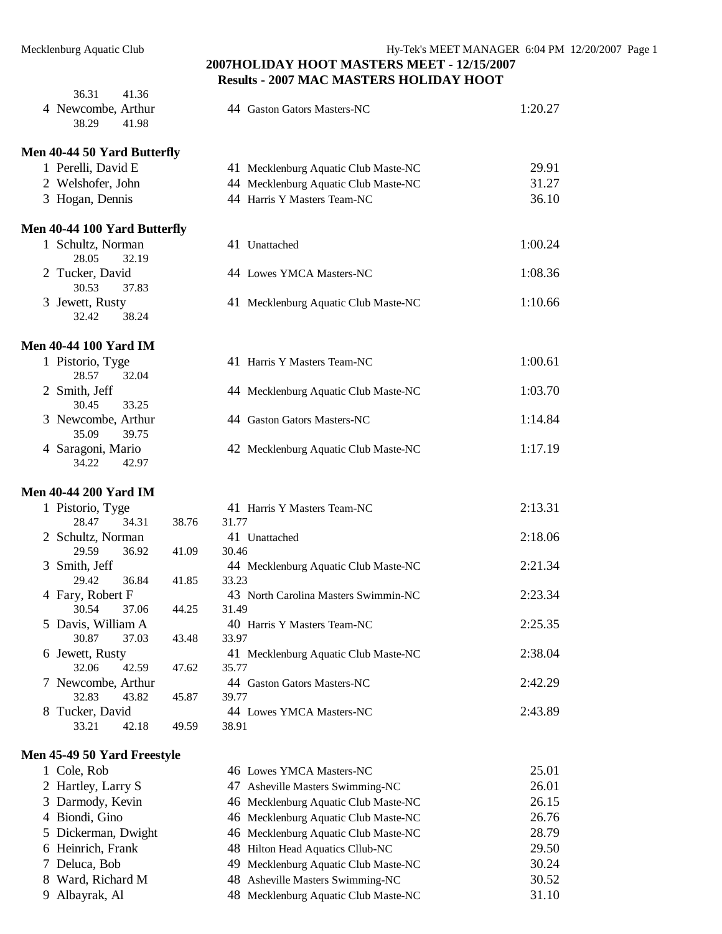|   | 36.31<br>41.36                       |       |                                      |         |
|---|--------------------------------------|-------|--------------------------------------|---------|
|   | 4 Newcombe, Arthur<br>38.29<br>41.98 |       | 44 Gaston Gators Masters-NC          | 1:20.27 |
|   | Men 40-44 50 Yard Butterfly          |       |                                      |         |
|   | 1 Perelli, David E                   |       | 41 Mecklenburg Aquatic Club Maste-NC | 29.91   |
|   | 2 Welshofer, John                    |       | 44 Mecklenburg Aquatic Club Maste-NC | 31.27   |
|   | 3 Hogan, Dennis                      |       | 44 Harris Y Masters Team-NC          | 36.10   |
|   | Men 40-44 100 Yard Butterfly         |       |                                      |         |
|   | 1 Schultz, Norman<br>28.05<br>32.19  |       | 41 Unattached                        | 1:00.24 |
|   | 2 Tucker, David                      |       | 44 Lowes YMCA Masters-NC             | 1:08.36 |
|   | 30.53<br>37.83                       |       |                                      |         |
|   | 3 Jewett, Rusty<br>32.42<br>38.24    |       | 41 Mecklenburg Aquatic Club Maste-NC | 1:10.66 |
|   | <b>Men 40-44 100 Yard IM</b>         |       |                                      |         |
|   | 1 Pistorio, Tyge<br>28.57<br>32.04   |       | 41 Harris Y Masters Team-NC          | 1:00.61 |
|   | 2 Smith, Jeff<br>30.45<br>33.25      |       | 44 Mecklenburg Aquatic Club Maste-NC | 1:03.70 |
|   | 3 Newcombe, Arthur<br>35.09<br>39.75 |       | 44 Gaston Gators Masters-NC          | 1:14.84 |
|   | 4 Saragoni, Mario<br>34.22<br>42.97  |       | 42 Mecklenburg Aquatic Club Maste-NC | 1:17.19 |
|   | <b>Men 40-44 200 Yard IM</b>         |       |                                      |         |
|   | 1 Pistorio, Tyge                     |       | 41 Harris Y Masters Team-NC          | 2:13.31 |
|   | 28.47<br>34.31                       | 38.76 | 31.77                                |         |
|   | 2 Schultz, Norman                    |       | 41 Unattached                        | 2:18.06 |
|   | 29.59<br>36.92                       | 41.09 | 30.46                                |         |
|   | 3 Smith, Jeff                        |       | 44 Mecklenburg Aquatic Club Maste-NC | 2:21.34 |
|   | 36.84<br>29.42                       | 41.85 | 33.23                                |         |
|   | 4 Fary, Robert F                     |       | 43 North Carolina Masters Swimmin-NC | 2:23.34 |
|   | 30.54<br>37.06                       | 44.25 | 31.49                                |         |
|   | 5 Davis, William A<br>30.87<br>37.03 |       | 40 Harris Y Masters Team-NC<br>33.97 | 2:25.35 |
|   | 6 Jewett, Rusty                      | 43.48 | 41 Mecklenburg Aquatic Club Maste-NC | 2:38.04 |
|   | 32.06<br>42.59                       | 47.62 | 35.77                                |         |
|   | 7 Newcombe, Arthur                   |       | 44 Gaston Gators Masters-NC          | 2:42.29 |
|   | 32.83<br>43.82                       | 45.87 | 39.77                                |         |
| 8 | Tucker, David                        |       | 44 Lowes YMCA Masters-NC             | 2:43.89 |
|   | 33.21<br>42.18                       | 49.59 | 38.91                                |         |
|   |                                      |       |                                      |         |

#### **Men 45-49 50 Yard Freestyle**

| 1 Cole, Rob         | 46 Lowes YMCA Masters-NC             | 25.01 |
|---------------------|--------------------------------------|-------|
| 2 Hartley, Larry S  | 47 Asheville Masters Swimming-NC     | 26.01 |
| 3 Darmody, Kevin    | 46 Mecklenburg Aquatic Club Maste-NC | 26.15 |
| 4 Biondi, Gino      | 46 Mecklenburg Aquatic Club Maste-NC | 26.76 |
| 5 Dickerman, Dwight | 46 Mecklenburg Aquatic Club Maste-NC | 28.79 |
| 6 Heinrich, Frank   | 48 Hilton Head Aquatics Cllub-NC     | 29.50 |
| 7 Deluca, Bob       | 49 Mecklenburg Aquatic Club Maste-NC | 30.24 |
| 8 Ward, Richard M   | 48 Asheville Masters Swimming-NC     | 30.52 |
| 9 Albayrak, Al      | 48 Mecklenburg Aquatic Club Maste-NC | 31.10 |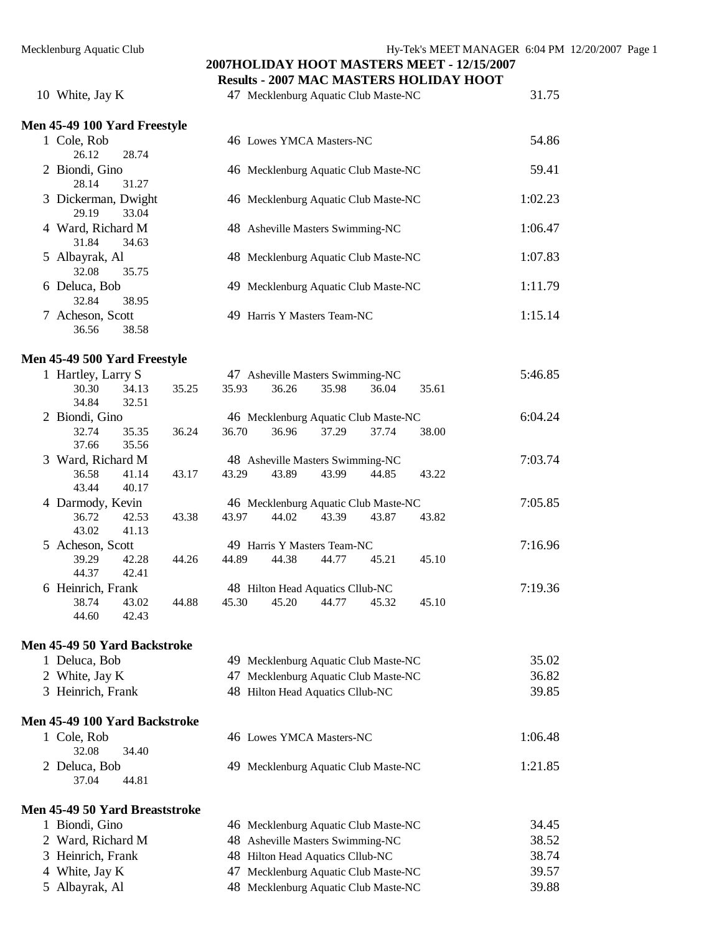# **2007HOLIDAY HOOT MASTERS MEET - 12/15/2007**

|                                       |                |       | <b>Results - 2007 MAC MASTERS HOLIDAY HOOT</b> |       |         |
|---------------------------------------|----------------|-------|------------------------------------------------|-------|---------|
| 10 White, Jay K                       |                |       | 47 Mecklenburg Aquatic Club Maste-NC           |       | 31.75   |
| Men 45-49 100 Yard Freestyle          |                |       |                                                |       |         |
| 1 Cole, Rob                           |                |       | 46 Lowes YMCA Masters-NC                       |       | 54.86   |
| 28.74<br>26.12                        |                |       |                                                |       |         |
| 2 Biondi, Gino                        |                |       | 46 Mecklenburg Aquatic Club Maste-NC           |       | 59.41   |
| 28.14<br>31.27                        |                |       |                                                |       |         |
| 3 Dickerman, Dwight<br>29.19<br>33.04 |                |       | 46 Mecklenburg Aquatic Club Maste-NC           |       | 1:02.23 |
| 4 Ward, Richard M                     |                |       | 48 Asheville Masters Swimming-NC               |       | 1:06.47 |
| 31.84<br>34.63                        |                |       |                                                |       |         |
| 5 Albayrak, Al                        |                |       | 48 Mecklenburg Aquatic Club Maste-NC           |       | 1:07.83 |
| 32.08<br>35.75                        |                |       |                                                |       |         |
| 6 Deluca, Bob                         |                |       | 49 Mecklenburg Aquatic Club Maste-NC           |       | 1:11.79 |
| 32.84<br>38.95                        |                |       |                                                |       |         |
| 7 Acheson, Scott                      |                |       | 49 Harris Y Masters Team-NC                    |       | 1:15.14 |
| 36.56<br>38.58                        |                |       |                                                |       |         |
| Men 45-49 500 Yard Freestyle          |                |       |                                                |       |         |
| 1 Hartley, Larry S                    |                |       | 47 Asheville Masters Swimming-NC               |       | 5:46.85 |
| 30.30<br>34.13                        | 35.93<br>35.25 | 36.26 | 35.98<br>36.04                                 | 35.61 |         |
| 34.84<br>32.51                        |                |       |                                                |       |         |
| 2 Biondi, Gino                        |                |       | 46 Mecklenburg Aquatic Club Maste-NC           |       | 6:04.24 |
| 32.74<br>35.35<br>37.66<br>35.56      | 36.70<br>36.24 | 36.96 | 37.29<br>37.74                                 | 38.00 |         |
| 3 Ward, Richard M                     |                |       | 48 Asheville Masters Swimming-NC               |       | 7:03.74 |
| 36.58<br>41.14                        | 43.17<br>43.29 | 43.89 | 43.99<br>44.85                                 | 43.22 |         |
| 43.44<br>40.17                        |                |       |                                                |       |         |
| 4 Darmody, Kevin                      |                |       | 46 Mecklenburg Aquatic Club Maste-NC           |       | 7:05.85 |
| 36.72<br>42.53                        | 43.38<br>43.97 | 44.02 | 43.39<br>43.87                                 | 43.82 |         |
| 43.02<br>41.13                        |                |       |                                                |       |         |
| 5 Acheson, Scott                      |                |       | 49 Harris Y Masters Team-NC                    |       | 7:16.96 |
| 39.29<br>42.28<br>44.37<br>42.41      | 44.26<br>44.89 | 44.38 | 44.77<br>45.21                                 | 45.10 |         |
| 6 Heinrich, Frank                     |                |       | 48 Hilton Head Aquatics Cllub-NC               |       | 7:19.36 |
| 43.02<br>38.74                        | 44.88<br>45.30 | 45.20 | 44.77<br>45.32                                 | 45.10 |         |
| 44.60<br>42.43                        |                |       |                                                |       |         |
| Men 45-49 50 Yard Backstroke          |                |       |                                                |       |         |
| 1 Deluca, Bob                         |                |       | 49 Mecklenburg Aquatic Club Maste-NC           |       | 35.02   |
| 2 White, Jay K                        |                |       | 47 Mecklenburg Aquatic Club Maste-NC           |       | 36.82   |
| 3 Heinrich, Frank                     |                |       | 48 Hilton Head Aquatics Cllub-NC               |       | 39.85   |
| Men 45-49 100 Yard Backstroke         |                |       |                                                |       |         |
| 1 Cole, Rob                           |                |       | 46 Lowes YMCA Masters-NC                       |       | 1:06.48 |

| T COIG NOU    |        | TO LOWES TIME A MIASICISTINE         | 1.VV.TV |
|---------------|--------|--------------------------------------|---------|
| 32.08         | -34.40 |                                      |         |
| 2 Deluca, Bob |        | 49 Mecklenburg Aquatic Club Maste-NC | 1:21.85 |
| 37.04         | 44.81  |                                      |         |

#### **Men 45-49 50 Yard Breaststroke**

| 1 Biondi, Gino    | 46 Mecklenburg Aquatic Club Maste-NC | 34.45 |
|-------------------|--------------------------------------|-------|
| 2 Ward, Richard M | 48 Asheville Masters Swimming-NC     | 38.52 |
| 3 Heinrich, Frank | 48 Hilton Head Aquatics Cllub-NC     | 38.74 |
| 4 White, Jay K    | 47 Mecklenburg Aquatic Club Maste-NC | 39.57 |
| 5 Albayrak, Al    | 48 Mecklenburg Aquatic Club Maste-NC | 39.88 |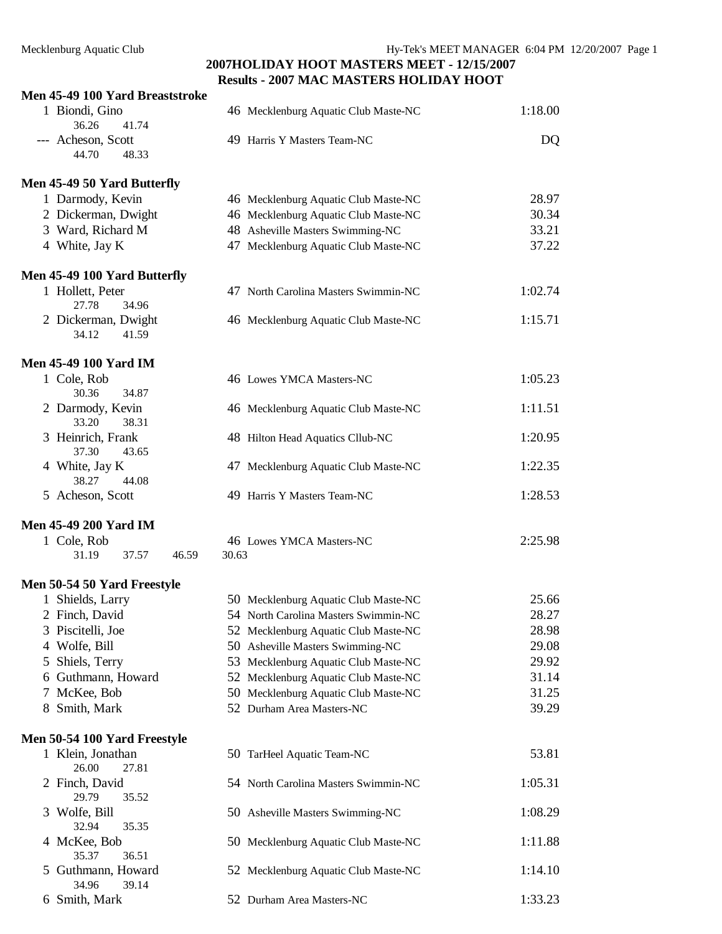#### **Men 45-49 100 Yard Breaststroke**

| $5 - 7$ Too Tary Dreasistrone           |                                      |         |
|-----------------------------------------|--------------------------------------|---------|
| 1 Biondi, Gino                          | 46 Mecklenburg Aquatic Club Maste-NC | 1:18.00 |
| 36.26<br>41.74                          |                                      |         |
| --- Acheson, Scott<br>44.70<br>48.33    | 49 Harris Y Masters Team-NC          | DQ      |
| Men 45-49 50 Yard Butterfly             |                                      |         |
| 1 Darmody, Kevin                        | 46 Mecklenburg Aquatic Club Maste-NC | 28.97   |
| 2 Dickerman, Dwight                     | 46 Mecklenburg Aquatic Club Maste-NC | 30.34   |
| 3 Ward, Richard M                       | 48 Asheville Masters Swimming-NC     | 33.21   |
| 4 White, Jay K                          | 47 Mecklenburg Aquatic Club Maste-NC | 37.22   |
| Men 45-49 100 Yard Butterfly            |                                      |         |
| 1 Hollett, Peter                        | 47 North Carolina Masters Swimmin-NC | 1:02.74 |
| 27.78<br>34.96                          |                                      |         |
| 2 Dickerman, Dwight<br>34.12<br>41.59   | 46 Mecklenburg Aquatic Club Maste-NC | 1:15.71 |
| <b>Men 45-49 100 Yard IM</b>            |                                      |         |
| 1 Cole, Rob                             | 46 Lowes YMCA Masters-NC             | 1:05.23 |
| 30.36<br>34.87                          |                                      |         |
| 2 Darmody, Kevin<br>33.20<br>38.31      | 46 Mecklenburg Aquatic Club Maste-NC | 1:11.51 |
| 3 Heinrich, Frank                       | 48 Hilton Head Aquatics Cllub-NC     | 1:20.95 |
| 37.30<br>43.65                          |                                      |         |
| 4 White, Jay K<br>38.27<br>44.08        | 47 Mecklenburg Aquatic Club Maste-NC | 1:22.35 |
| 5 Acheson, Scott                        | 49 Harris Y Masters Team-NC          | 1:28.53 |
| <b>Men 45-49 200 Yard IM</b>            |                                      |         |
| 1 Cole, Rob                             | 46 Lowes YMCA Masters-NC             | 2:25.98 |
| 31.19<br>37.57<br>46.59                 | 30.63                                |         |
| Men 50-54 50 Yard Freestyle             |                                      |         |
| 1 Shields, Larry                        | 50 Mecklenburg Aquatic Club Maste-NC | 25.66   |
| 2 Finch, David                          | 54 North Carolina Masters Swimmin-NC | 28.27   |
| 3 Piscitelli, Joe                       | 52 Mecklenburg Aquatic Club Maste-NC | 28.98   |
| 4 Wolfe, Bill                           | 50 Asheville Masters Swimming-NC     | 29.08   |
| 5 Shiels, Terry                         | 53 Mecklenburg Aquatic Club Maste-NC | 29.92   |
| 6 Guthmann, Howard                      | 52 Mecklenburg Aquatic Club Maste-NC | 31.14   |
| 7 McKee, Bob                            | 50 Mecklenburg Aquatic Club Maste-NC | 31.25   |
| 8 Smith, Mark                           | 52 Durham Area Masters-NC            | 39.29   |
| Men 50-54 100 Yard Freestyle            |                                      |         |
| 1 Klein, Jonathan<br>26.00<br>27.81     | 50 TarHeel Aquatic Team-NC           | 53.81   |
| 2 Finch, David                          | 54 North Carolina Masters Swimmin-NC | 1:05.31 |
| 29.79<br>35.52<br>3 Wolfe, Bill         | 50 Asheville Masters Swimming-NC     | 1:08.29 |
| 32.94<br>35.35                          |                                      |         |
| 4 McKee, Bob                            | 50 Mecklenburg Aquatic Club Maste-NC | 1:11.88 |
| 35.37<br>36.51                          |                                      |         |
| Guthmann, Howard<br>5<br>34.96<br>39.14 | 52 Mecklenburg Aquatic Club Maste-NC | 1:14.10 |
| 6 Smith, Mark                           | 52 Durham Area Masters-NC            | 1:33.23 |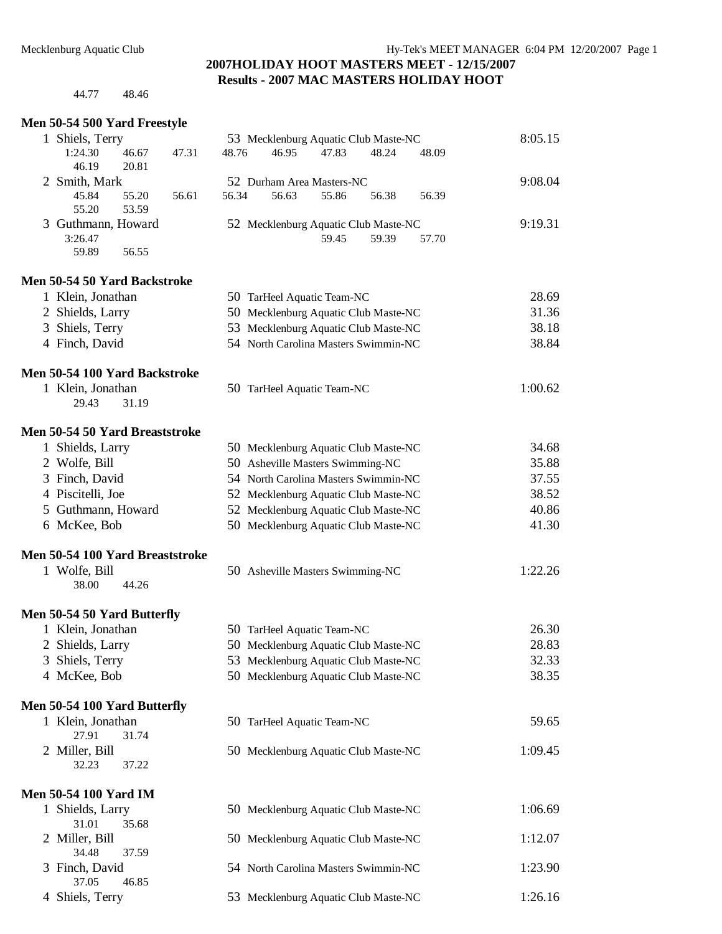44.77 48.46

#### **Men 50-54 500 Yard Freestyle**

|                | Men 50-54 500 Yard Freestyle   |       |       |                                      |                                      |       |       |       |         |
|----------------|--------------------------------|-------|-------|--------------------------------------|--------------------------------------|-------|-------|-------|---------|
|                | 1 Shiels, Terry                |       |       |                                      | 53 Mecklenburg Aquatic Club Maste-NC |       |       |       | 8:05.15 |
|                | 1:24.30                        | 46.67 | 47.31 | 48.76                                | 46.95                                | 47.83 | 48.24 | 48.09 |         |
|                | 46.19                          | 20.81 |       |                                      |                                      |       |       |       |         |
|                | 2 Smith, Mark                  |       |       |                                      | 52 Durham Area Masters-NC            |       |       |       | 9:08.04 |
|                | 45.84                          | 55.20 | 56.61 | 56.34                                | 56.63                                | 55.86 | 56.38 | 56.39 |         |
|                | 55.20                          | 53.59 |       |                                      |                                      |       |       |       |         |
|                | 3 Guthmann, Howard             |       |       |                                      | 52 Mecklenburg Aquatic Club Maste-NC |       |       |       | 9:19.31 |
|                | 3:26.47                        |       |       |                                      |                                      | 59.45 | 59.39 | 57.70 |         |
|                | 59.89                          | 56.55 |       |                                      |                                      |       |       |       |         |
|                | Men 50-54 50 Yard Backstroke   |       |       |                                      |                                      |       |       |       |         |
|                | 1 Klein, Jonathan              |       |       |                                      | 50 TarHeel Aquatic Team-NC           |       |       |       | 28.69   |
|                | 2 Shields, Larry               |       |       | 50 Mecklenburg Aquatic Club Maste-NC |                                      |       |       |       | 31.36   |
|                | 3 Shiels, Terry                |       |       | 53 Mecklenburg Aquatic Club Maste-NC |                                      |       |       |       | 38.18   |
| 4 Finch, David |                                |       |       | 54 North Carolina Masters Swimmin-NC |                                      |       |       |       | 38.84   |
|                | Men 50-54 100 Yard Backstroke  |       |       |                                      |                                      |       |       |       |         |
|                | 1 Klein, Jonathan              |       |       |                                      | 50 TarHeel Aquatic Team-NC           |       |       |       | 1:00.62 |
|                | 29.43                          | 31.19 |       |                                      |                                      |       |       |       |         |
|                | Men 50-54 50 Yard Breaststroke |       |       |                                      |                                      |       |       |       |         |
| $\mathbf{1}$   | Shields, Larry                 |       |       |                                      | 50 Mecklenburg Aquatic Club Maste-NC |       |       |       | 34.68   |
|                | 2 Wolfe, Bill                  |       |       |                                      | 50 Asheville Masters Swimming-NC     |       |       |       | 35.88   |
|                | 3 Finch, David                 |       |       |                                      | 54 North Carolina Masters Swimmin-NC |       |       |       | 37.55   |
|                | 4 Piscitelli, Joe              |       |       |                                      | 52 Mecklenburg Aquatic Club Maste-NC |       |       |       | 38.52   |
|                | 5 Guthmann, Howard             |       |       |                                      | 52 Mecklenburg Aquatic Club Maste-NC |       |       |       | 40.86   |
|                | 6 McKee, Bob                   |       |       |                                      | 50 Mecklenburg Aquatic Club Maste-NC |       |       |       | 41.30   |
|                |                                |       |       |                                      |                                      |       |       |       |         |

#### **Men 50-54 100 Yard Breaststroke**

**Men 50-54 100 Yard Butterfly**  1 Klein, Jonathan

32.23 37.22

**Men 50-54 100 Yard IM** 

| 38.00<br>44.26<br>Men 50-54 50 Yard Butterfly |                                  |         |
|-----------------------------------------------|----------------------------------|---------|
| 1 Wolfe, Bill                                 | 50 Asheville Masters Swimming-NC | 1:22.26 |

#### 1 Klein, Jonathan 50 TarHeel Aquatic Team-NC 26.30 2 Shields, Larry 50 Mecklenburg Aquatic Club Maste-NC 28.83 3 Shiels, Terry 53 Mecklenburg Aquatic Club Maste-NC 32.33 4 McKee, Bob 50 Mecklenburg Aquatic Club Maste-NC 38.35

| 1 Klein, Jonathan |       | 50 TarHeel Aquatic Team-NC           | 59.65   |
|-------------------|-------|--------------------------------------|---------|
| 27.91             | 31.74 |                                      |         |
| 2 Miller, Bill    |       | 50 Mecklenburg Aquatic Club Maste-NC | 1:09.45 |

| 1 Shields, Larry | 50 Mecklenburg Aquatic Club Maste-NC | 1:06.69 |
|------------------|--------------------------------------|---------|
| 35.68<br>31.01   |                                      |         |
| 2 Miller, Bill   | 50 Mecklenburg Aquatic Club Maste-NC | 1:12.07 |
| 34.48 37.59      |                                      |         |
| 3 Finch, David   | 54 North Carolina Masters Swimmin-NC | 1:23.90 |
| 37.05<br>46.85   |                                      |         |
| 4 Shiels, Terry  | 53 Mecklenburg Aquatic Club Maste-NC | 1:26.16 |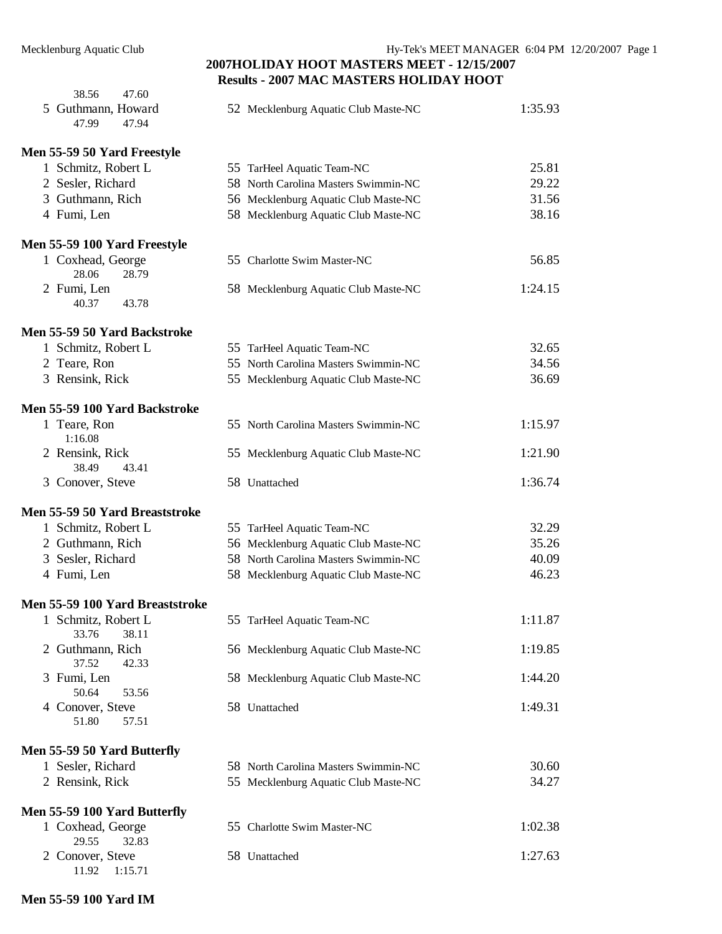| 38.56<br>47.60                        |                                      |         |
|---------------------------------------|--------------------------------------|---------|
| 5 Guthmann, Howard<br>47.99<br>47.94  | 52 Mecklenburg Aquatic Club Maste-NC | 1:35.93 |
| Men 55-59 50 Yard Freestyle           |                                      |         |
| 1 Schmitz, Robert L                   | 55 TarHeel Aquatic Team-NC           | 25.81   |
| 2 Sesler, Richard                     | 58 North Carolina Masters Swimmin-NC | 29.22   |
| 3 Guthmann, Rich                      | 56 Mecklenburg Aquatic Club Maste-NC | 31.56   |
| 4 Fumi, Len                           | 58 Mecklenburg Aquatic Club Maste-NC | 38.16   |
| Men 55-59 100 Yard Freestyle          |                                      |         |
| 1 Coxhead, George<br>28.06<br>28.79   | 55 Charlotte Swim Master-NC          | 56.85   |
| 2 Fumi, Len<br>40.37<br>43.78         | 58 Mecklenburg Aquatic Club Maste-NC | 1:24.15 |
| Men 55-59 50 Yard Backstroke          |                                      |         |
| 1 Schmitz, Robert L                   | 55 TarHeel Aquatic Team-NC           | 32.65   |
| 2 Teare, Ron                          | 55 North Carolina Masters Swimmin-NC | 34.56   |
| 3 Rensink, Rick                       | 55 Mecklenburg Aquatic Club Maste-NC | 36.69   |
| Men 55-59 100 Yard Backstroke         |                                      |         |
| 1 Teare, Ron<br>1:16.08               | 55 North Carolina Masters Swimmin-NC | 1:15.97 |
| 2 Rensink, Rick<br>38.49<br>43.41     | 55 Mecklenburg Aquatic Club Maste-NC | 1:21.90 |
| 3 Conover, Steve                      | 58 Unattached                        | 1:36.74 |
| Men 55-59 50 Yard Breaststroke        |                                      |         |
| 1 Schmitz, Robert L                   | 55 TarHeel Aquatic Team-NC           | 32.29   |
| 2 Guthmann, Rich                      | 56 Mecklenburg Aquatic Club Maste-NC | 35.26   |
| 3 Sesler, Richard                     | 58 North Carolina Masters Swimmin-NC | 40.09   |
| 4 Fumi, Len                           | 58 Mecklenburg Aquatic Club Maste-NC | 46.23   |
| Men 55-59 100 Yard Breaststroke       |                                      |         |
| 1 Schmitz, Robert L<br>33.76<br>38.11 | 55 TarHeel Aquatic Team-NC           | 1:11.87 |
| 2 Guthmann, Rich<br>37.52<br>42.33    | 56 Mecklenburg Aquatic Club Maste-NC | 1:19.85 |
| 3 Fumi, Len<br>53.56<br>50.64         | 58 Mecklenburg Aquatic Club Maste-NC | 1:44.20 |
| 4 Conover, Steve<br>51.80<br>57.51    | 58 Unattached                        | 1:49.31 |
| Men 55-59 50 Yard Butterfly           |                                      |         |
| 1 Sesler, Richard                     | 58 North Carolina Masters Swimmin-NC | 30.60   |
| 2 Rensink, Rick                       | 55 Mecklenburg Aquatic Club Maste-NC | 34.27   |
| Men 55-59 100 Yard Butterfly          |                                      |         |
| 1 Coxhead, George<br>32.83<br>29.55   | 55 Charlotte Swim Master-NC          | 1:02.38 |
| 2 Conover, Steve<br>11.92<br>1:15.71  | 58 Unattached                        | 1:27.63 |
|                                       |                                      |         |

#### **Men 55-59 100 Yard IM**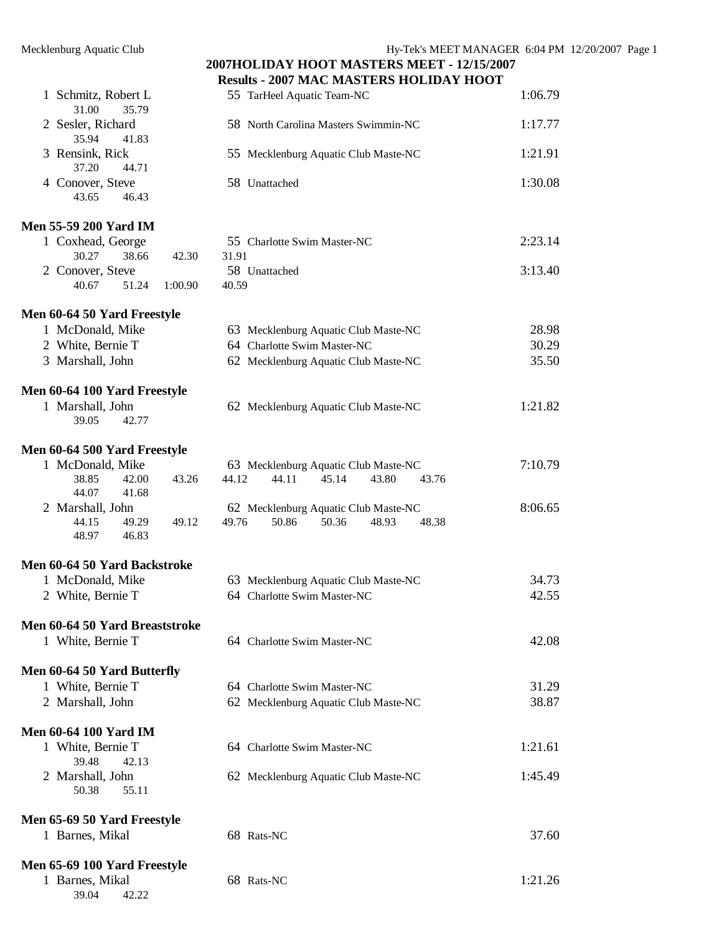39.04 42.22

#### **2007HOLIDAY HOOT MASTERS MEET - 12/15/2007 Results - 2007 MAC MASTERS HOLIDAY HOOT**

|                                                      | Results - 2007 MAC MASTERS HOLIDAY HOOT   |         |
|------------------------------------------------------|-------------------------------------------|---------|
| 1 Schmitz, Robert L<br>31.00<br>35.79                | 55 TarHeel Aquatic Team-NC                | 1:06.79 |
| 2 Sesler, Richard                                    | 58 North Carolina Masters Swimmin-NC      | 1:17.77 |
| 35.94<br>41.83<br>3 Rensink, Rick                    | 55 Mecklenburg Aquatic Club Maste-NC      | 1:21.91 |
| 37.20<br>44.71<br>4 Conover, Steve<br>43.65<br>46.43 | 58 Unattached                             | 1:30.08 |
|                                                      |                                           |         |
| <b>Men 55-59 200 Yard IM</b>                         |                                           |         |
| 1 Coxhead, George                                    | 55 Charlotte Swim Master-NC               | 2:23.14 |
| 30.27<br>38.66<br>42.30                              | 31.91                                     |         |
| 2 Conover, Steve                                     | 58 Unattached                             | 3:13.40 |
| 40.67<br>51.24<br>1:00.90                            | 40.59                                     |         |
| Men 60-64 50 Yard Freestyle                          |                                           |         |
| 1 McDonald, Mike                                     | 63 Mecklenburg Aquatic Club Maste-NC      | 28.98   |
| 2 White, Bernie T                                    | 64 Charlotte Swim Master-NC               | 30.29   |
| 3 Marshall, John                                     | 62 Mecklenburg Aquatic Club Maste-NC      | 35.50   |
| Men 60-64 100 Yard Freestyle                         |                                           |         |
| 1 Marshall, John<br>39.05<br>42.77                   | 62 Mecklenburg Aquatic Club Maste-NC      | 1:21.82 |
|                                                      |                                           |         |
| Men 60-64 500 Yard Freestyle                         |                                           |         |
| 1 McDonald, Mike                                     | 63 Mecklenburg Aquatic Club Maste-NC      | 7:10.79 |
| 38.85<br>42.00<br>43.26                              | 44.12<br>44.11<br>45.14<br>43.80<br>43.76 |         |
| 44.07<br>41.68                                       |                                           |         |
| 2 Marshall, John                                     | 62 Mecklenburg Aquatic Club Maste-NC      | 8:06.65 |
| 44.15<br>49.29<br>49.12<br>48.97<br>46.83            | 49.76<br>50.86<br>50.36<br>48.93<br>48.38 |         |
| Men 60-64 50 Yard Backstroke                         |                                           |         |
| 1 McDonald, Mike                                     | 63 Mecklenburg Aquatic Club Maste-NC      | 34.73   |
| 2 White, Bernie T                                    | 64 Charlotte Swim Master-NC               | 42.55   |
|                                                      |                                           |         |
| Men 60-64 50 Yard Breaststroke<br>1 White, Bernie T  | 64 Charlotte Swim Master-NC               | 42.08   |
|                                                      |                                           |         |
| Men 60-64 50 Yard Butterfly                          |                                           |         |
| 1 White, Bernie T                                    | 64 Charlotte Swim Master-NC               | 31.29   |
| 2 Marshall, John                                     | 62 Mecklenburg Aquatic Club Maste-NC      | 38.87   |
| <b>Men 60-64 100 Yard IM</b>                         |                                           |         |
| 1 White, Bernie T                                    | 64 Charlotte Swim Master-NC               | 1:21.61 |
| 39.48<br>42.13                                       |                                           |         |
| 2 Marshall, John<br>50.38<br>55.11                   | 62 Mecklenburg Aquatic Club Maste-NC      | 1:45.49 |
| Men 65-69 50 Yard Freestyle                          |                                           |         |
| 1 Barnes, Mikal                                      | 68 Rats-NC                                | 37.60   |
| Men 65-69 100 Yard Freestyle                         |                                           |         |
| 1 Barnes, Mikal                                      | 68 Rats-NC                                | 1:21.26 |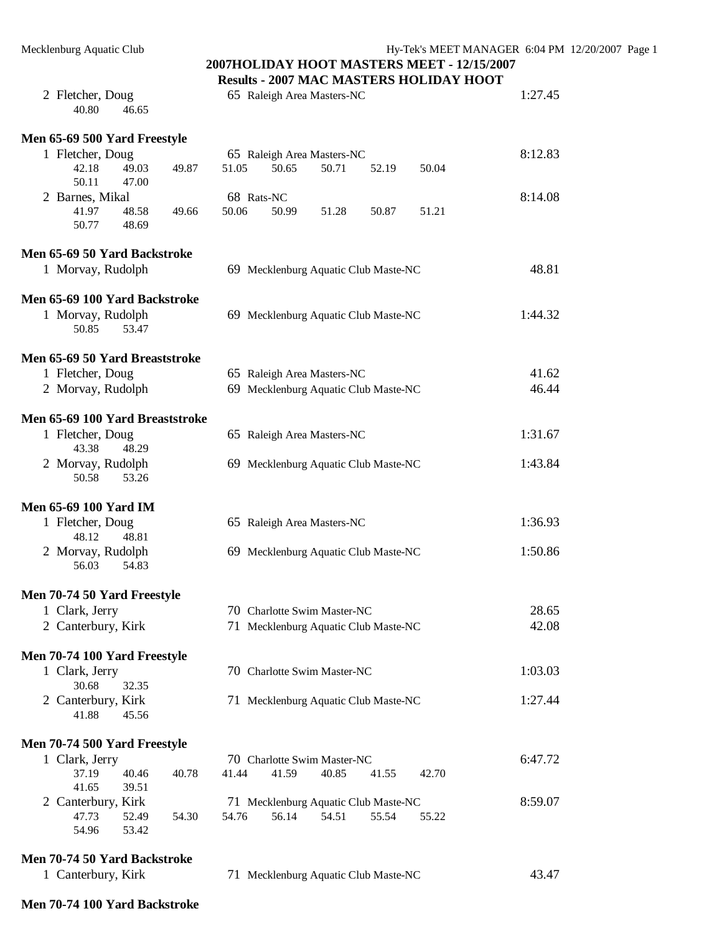# **2007HOLIDAY HOOT MASTERS MEET - 12/15/2007**

|                                 |                             |                |       |            |                                      |       |       | <b>Results - 2007 MAC MASTERS HOLIDAY HOOT</b> |         |
|---------------------------------|-----------------------------|----------------|-------|------------|--------------------------------------|-------|-------|------------------------------------------------|---------|
|                                 | 2 Fletcher, Doug<br>40.80   | 46.65          |       |            | 65 Raleigh Area Masters-NC           |       |       |                                                | 1:27.45 |
| Men 65-69 500 Yard Freestyle    |                             |                |       |            |                                      |       |       |                                                |         |
|                                 | 1 Fletcher, Doug            |                |       |            | 65 Raleigh Area Masters-NC           |       |       |                                                | 8:12.83 |
|                                 | 42.18<br>50.11              | 49.03<br>47.00 | 49.87 | 51.05      | 50.65                                | 50.71 | 52.19 | 50.04                                          |         |
|                                 | 2 Barnes, Mikal             |                |       | 68 Rats-NC |                                      |       |       |                                                | 8:14.08 |
|                                 | 41.97<br>50.77              | 48.58<br>48.69 | 49.66 | 50.06      | 50.99                                | 51.28 | 50.87 | 51.21                                          |         |
| Men 65-69 50 Yard Backstroke    |                             |                |       |            |                                      |       |       |                                                |         |
|                                 | 1 Morvay, Rudolph           |                |       |            | 69 Mecklenburg Aquatic Club Maste-NC |       |       |                                                | 48.81   |
| Men 65-69 100 Yard Backstroke   |                             |                |       |            |                                      |       |       |                                                |         |
|                                 | 1 Morvay, Rudolph<br>50.85  | 53.47          |       |            | 69 Mecklenburg Aquatic Club Maste-NC |       |       |                                                | 1:44.32 |
| Men 65-69 50 Yard Breaststroke  |                             |                |       |            |                                      |       |       |                                                |         |
|                                 | 1 Fletcher, Doug            |                |       |            | 65 Raleigh Area Masters-NC           |       |       |                                                | 41.62   |
|                                 | 2 Morvay, Rudolph           |                |       |            | 69 Mecklenburg Aquatic Club Maste-NC |       |       |                                                | 46.44   |
| Men 65-69 100 Yard Breaststroke |                             |                |       |            |                                      |       |       |                                                |         |
|                                 | 1 Fletcher, Doug<br>43.38   | 48.29          |       |            | 65 Raleigh Area Masters-NC           |       |       |                                                | 1:31.67 |
|                                 | 2 Morvay, Rudolph           |                |       |            | 69 Mecklenburg Aquatic Club Maste-NC |       |       |                                                | 1:43.84 |
|                                 | 50.58                       | 53.26          |       |            |                                      |       |       |                                                |         |
| <b>Men 65-69 100 Yard IM</b>    |                             |                |       |            |                                      |       |       |                                                |         |
|                                 | 1 Fletcher, Doug<br>48.12   | 48.81          |       |            | 65 Raleigh Area Masters-NC           |       |       |                                                | 1:36.93 |
|                                 | 2 Morvay, Rudolph<br>56.03  | 54.83          |       |            | 69 Mecklenburg Aquatic Club Maste-NC |       |       |                                                | 1:50.86 |
| Men 70-74 50 Yard Freestyle     |                             |                |       |            |                                      |       |       |                                                |         |
|                                 | 1 Clark, Jerry              |                |       |            | 70 Charlotte Swim Master-NC          |       |       |                                                | 28.65   |
|                                 | 2 Canterbury, Kirk          |                |       |            | 71 Mecklenburg Aquatic Club Maste-NC |       |       |                                                | 42.08   |
| Men 70-74 100 Yard Freestyle    |                             |                |       |            |                                      |       |       |                                                |         |
|                                 | 1 Clark, Jerry<br>30.68     | 32.35          |       |            | 70 Charlotte Swim Master-NC          |       |       |                                                | 1:03.03 |
|                                 | 2 Canterbury, Kirk<br>41.88 | 45.56          |       |            | 71 Mecklenburg Aquatic Club Maste-NC |       |       |                                                | 1:27.44 |
| Men 70-74 500 Yard Freestyle    |                             |                |       |            |                                      |       |       |                                                |         |
|                                 | 1 Clark, Jerry              |                |       |            | 70 Charlotte Swim Master-NC          |       |       |                                                | 6:47.72 |
|                                 | 37.19<br>41.65              | 40.46<br>39.51 | 40.78 | 41.44      | 41.59                                | 40.85 | 41.55 | 42.70                                          |         |
|                                 | 2 Canterbury, Kirk          |                |       |            | 71 Mecklenburg Aquatic Club Maste-NC |       |       |                                                | 8:59.07 |
|                                 | 47.73                       | 52.49          | 54.30 | 54.76      | 56.14                                | 54.51 | 55.54 | 55.22                                          |         |
|                                 | 54.96                       | 53.42          |       |            |                                      |       |       |                                                |         |

**Men 70-74 50 Yard Backstroke** 

| 1 Canterbury, Kirk |  | 71 Mecklenburg Aquatic Club Maste-NC | 43.47 |
|--------------------|--|--------------------------------------|-------|
|--------------------|--|--------------------------------------|-------|